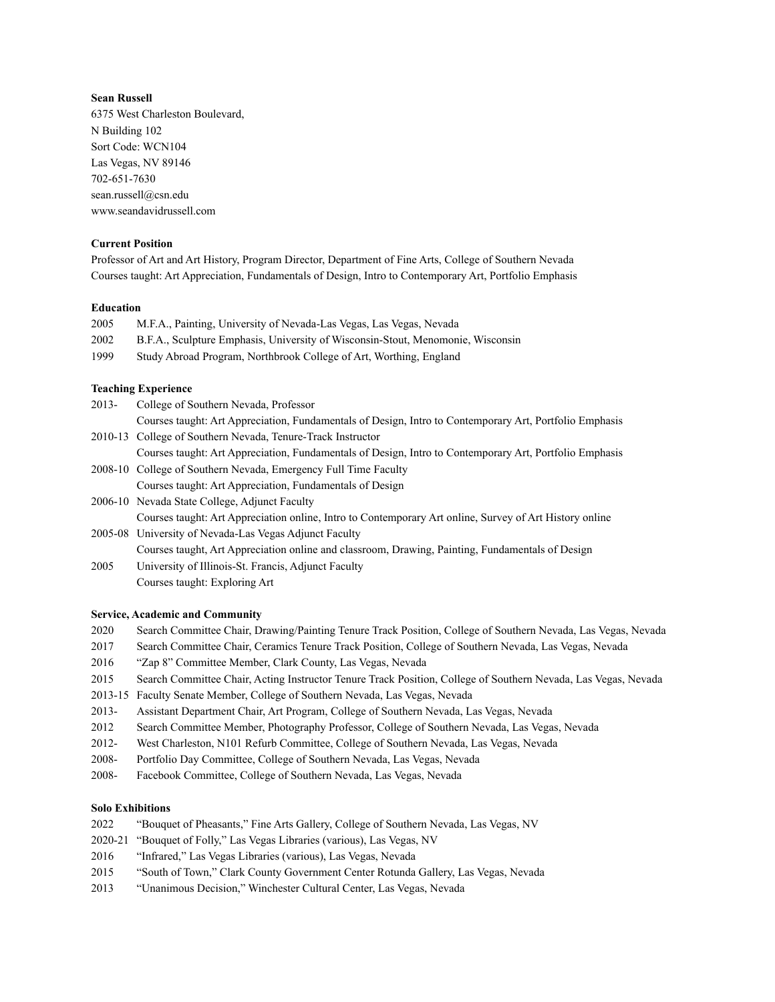## **Sean Russell**

6375 West Charleston Boulevard, N Building 102 Sort Code: WCN104 Las Vegas, NV 89146 702-651-7630 sean.russell@csn.edu www.seandavidrussell.com

## **Current Position**

Professor of Art and Art History, Program Director, Department of Fine Arts, College of Southern Nevada Courses taught: Art Appreciation, Fundamentals of Design, Intro to Contemporary Art, Portfolio Emphasis

#### **Education**

| 2005 | M.F.A., Painting, University of Nevada-Las Vegas, Las Vegas, Nevada             |
|------|---------------------------------------------------------------------------------|
| 2002 | B.F.A., Sculpture Emphasis, University of Wisconsin-Stout, Menomonie, Wisconsin |
| 1999 | Study Abroad Program, Northbrook College of Art, Worthing, England              |

# **Teaching Experience**

| $2013 -$ | College of Southern Nevada, Professor                                                                   |
|----------|---------------------------------------------------------------------------------------------------------|
|          | Courses taught: Art Appreciation, Fundamentals of Design, Intro to Contemporary Art, Portfolio Emphasis |
|          | 2010-13 College of Southern Nevada, Tenure-Track Instructor                                             |
|          | Courses taught: Art Appreciation, Fundamentals of Design, Intro to Contemporary Art, Portfolio Emphasis |
|          | 2008-10 College of Southern Nevada Emergency Full Time Faculty                                          |

vevada, Emergency Courses taught: Art Appreciation, Fundamentals of Design

2006-10 Nevada State College, Adjunct Faculty Courses taught: Art Appreciation online, Intro to Contemporary Art online, Survey of Art History online 2005-08 University of Nevada-Las Vegas Adjunct Faculty

Courses taught, Art Appreciation online and classroom, Drawing, Painting, Fundamentals of Design

2005 University of Illinois-St. Francis, Adjunct Faculty Courses taught: Exploring Art

#### **Service, Academic and Community**

- 2020 Search Committee Chair, Drawing/Painting Tenure Track Position, College of Southern Nevada, Las Vegas, Nevada
- 2017 Search Committee Chair, Ceramics Tenure Track Position, College of Southern Nevada, Las Vegas, Nevada
- 2016 "Zap 8" Committee Member, Clark County, Las Vegas, Nevada
- 2015 Search Committee Chair, Acting Instructor Tenure Track Position, College of Southern Nevada, Las Vegas, Nevada
- 2013-15 Faculty Senate Member, College of Southern Nevada, Las Vegas, Nevada
- 2013- Assistant Department Chair, Art Program, College of Southern Nevada, Las Vegas, Nevada
- 2012 Search Committee Member, Photography Professor, College of Southern Nevada, Las Vegas, Nevada
- 2012- West Charleston, N101 Refurb Committee, College of Southern Nevada, Las Vegas, Nevada
- 2008- Portfolio Day Committee, College of Southern Nevada, Las Vegas, Nevada
- 2008- Facebook Committee, College of Southern Nevada, Las Vegas, Nevada

# **Solo Exhibitions**

- 2022 "Bouquet of Pheasants," Fine Arts Gallery, College of Southern Nevada, Las Vegas, NV
- 2020-21 "Bouquet of Folly," Las Vegas Libraries (various), Las Vegas, NV
- 2016 "Infrared," Las Vegas Libraries (various), Las Vegas, Nevada
- 2015 "South of Town," Clark County Government Center Rotunda Gallery, Las Vegas, Nevada
- 2013 "Unanimous Decision," Winchester Cultural Center, Las Vegas, Nevada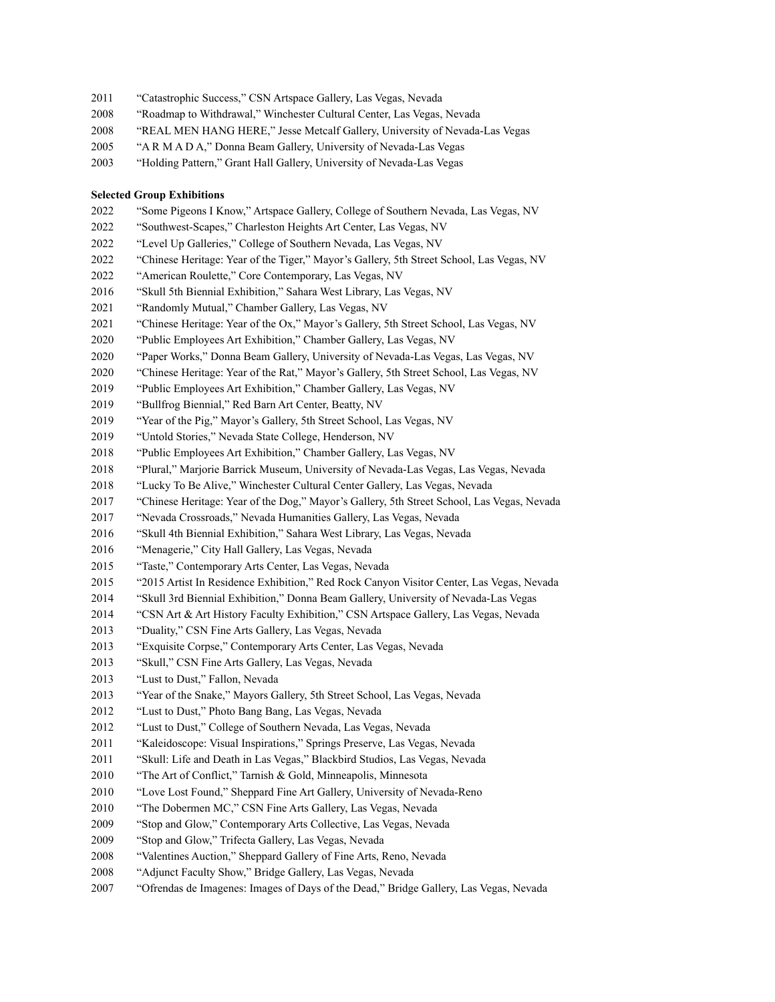- "Catastrophic Success," CSN Artspace Gallery, Las Vegas, Nevada
- "Roadmap to Withdrawal," Winchester Cultural Center, Las Vegas, Nevada
- "REAL MEN HANG HERE," Jesse Metcalf Gallery, University of Nevada-Las Vegas
- "A R M A D A," Donna Beam Gallery, University of Nevada-Las Vegas
- "Holding Pattern," Grant Hall Gallery, University of Nevada-Las Vegas

#### **Selected Group Exhibitions**

- "Some Pigeons I Know," Artspace Gallery, College of Southern Nevada, Las Vegas, NV
- "Southwest-Scapes," Charleston Heights Art Center, Las Vegas, NV
- "Level Up Galleries," College of Southern Nevada, Las Vegas, NV
- "Chinese Heritage: Year of the Tiger," Mayor's Gallery, 5th Street School, Las Vegas, NV
- "American Roulette," Core Contemporary, Las Vegas, NV
- "Skull 5th Biennial Exhibition," Sahara West Library, Las Vegas, NV
- "Randomly Mutual," Chamber Gallery, Las Vegas, NV
- "Chinese Heritage: Year of the Ox," Mayor's Gallery, 5th Street School, Las Vegas, NV
- "Public Employees Art Exhibition," Chamber Gallery, Las Vegas, NV
- "Paper Works," Donna Beam Gallery, University of Nevada-Las Vegas, Las Vegas, NV
- "Chinese Heritage: Year of the Rat," Mayor's Gallery, 5th Street School, Las Vegas, NV
- "Public Employees Art Exhibition," Chamber Gallery, Las Vegas, NV
- "Bullfrog Biennial," Red Barn Art Center, Beatty, NV
- "Year of the Pig," Mayor's Gallery, 5th Street School, Las Vegas, NV
- "Untold Stories," Nevada State College, Henderson, NV
- "Public Employees Art Exhibition," Chamber Gallery, Las Vegas, NV
- "Plural," Marjorie Barrick Museum, University of Nevada-Las Vegas, Las Vegas, Nevada
- "Lucky To Be Alive," Winchester Cultural Center Gallery, Las Vegas, Nevada
- "Chinese Heritage: Year of the Dog," Mayor's Gallery, 5th Street School, Las Vegas, Nevada
- "Nevada Crossroads," Nevada Humanities Gallery, Las Vegas, Nevada
- "Skull 4th Biennial Exhibition," Sahara West Library, Las Vegas, Nevada
- "Menagerie," City Hall Gallery, Las Vegas, Nevada
- "Taste," Contemporary Arts Center, Las Vegas, Nevada
- "2015 Artist In Residence Exhibition," Red Rock Canyon Visitor Center, Las Vegas, Nevada
- "Skull 3rd Biennial Exhibition," Donna Beam Gallery, University of Nevada-Las Vegas
- "CSN Art & Art History Faculty Exhibition," CSN Artspace Gallery, Las Vegas, Nevada
- "Duality," CSN Fine Arts Gallery, Las Vegas, Nevada
- "Exquisite Corpse," Contemporary Arts Center, Las Vegas, Nevada
- "Skull," CSN Fine Arts Gallery, Las Vegas, Nevada
- "Lust to Dust," Fallon, Nevada
- "Year of the Snake," Mayors Gallery, 5th Street School, Las Vegas, Nevada
- "Lust to Dust," Photo Bang Bang, Las Vegas, Nevada
- "Lust to Dust," College of Southern Nevada, Las Vegas, Nevada
- "Kaleidoscope: Visual Inspirations," Springs Preserve, Las Vegas, Nevada
- "Skull: Life and Death in Las Vegas," Blackbird Studios, Las Vegas, Nevada
- 2010 "The Art of Conflict," Tarnish & Gold, Minneapolis, Minnesota
- "Love Lost Found," Sheppard Fine Art Gallery, University of Nevada-Reno
- "The Dobermen MC," CSN Fine Arts Gallery, Las Vegas, Nevada
- "Stop and Glow," Contemporary Arts Collective, Las Vegas, Nevada
- "Stop and Glow," Trifecta Gallery, Las Vegas, Nevada
- "Valentines Auction," Sheppard Gallery of Fine Arts, Reno, Nevada
- "Adjunct Faculty Show," Bridge Gallery, Las Vegas, Nevada
- "Ofrendas de Imagenes: Images of Days of the Dead," Bridge Gallery, Las Vegas, Nevada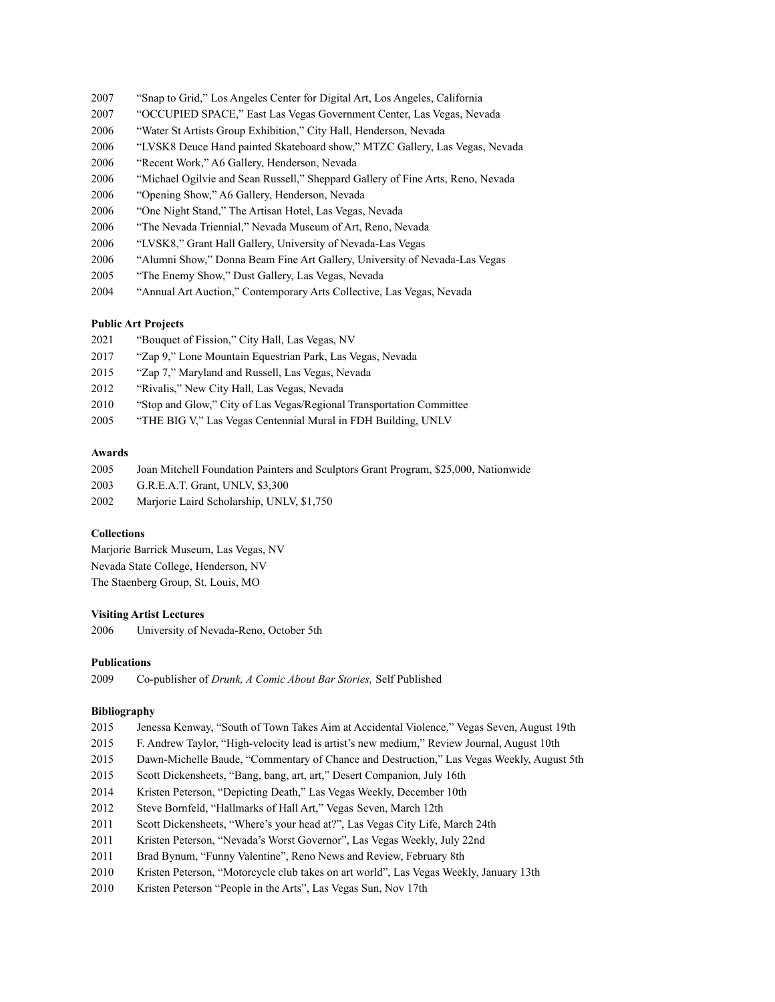- "Snap to Grid," Los Angeles Center for Digital Art, Los Angeles, California
- "OCCUPIED SPACE," East Las Vegas Government Center, Las Vegas, Nevada
- "Water St Artists Group Exhibition," City Hall, Henderson, Nevada
- "LVSK8 Deuce Hand painted Skateboard show," MTZC Gallery, Las Vegas, Nevada
- "Recent Work," A6 Gallery, Henderson, Nevada
- "Michael Ogilvie and Sean Russell," Sheppard Gallery of Fine Arts, Reno, Nevada
- "Opening Show," A6 Gallery, Henderson, Nevada
- "One Night Stand," The Artisan Hotel, Las Vegas, Nevada
- "The Nevada Triennial," Nevada Museum of Art, Reno, Nevada
- "LVSK8," Grant Hall Gallery, University of Nevada-Las Vegas
- "Alumni Show," Donna Beam Fine Art Gallery, University of Nevada-Las Vegas
- "The Enemy Show," Dust Gallery, Las Vegas, Nevada
- "Annual Art Auction," Contemporary Arts Collective, Las Vegas, Nevada

#### **Public Art Projects**

- "Bouquet of Fission," City Hall, Las Vegas, NV
- "Zap 9," Lone Mountain Equestrian Park, Las Vegas, Nevada
- "Zap 7," Maryland and Russell, Las Vegas, Nevada
- "Rivalis," New City Hall, Las Vegas, Nevada
- "Stop and Glow," City of Las Vegas/Regional Transportation Committee
- "THE BIG V," Las Vegas Centennial Mural in FDH Building, UNLV

#### **Awards**

- Joan Mitchell Foundation Painters and Sculptors Grant Program, \$25,000, Nationwide
- G.R.E.A.T. Grant, UNLV, \$3,300
- Marjorie Laird Scholarship, UNLV, \$1,750

## **Collections**

Marjorie Barrick Museum, Las Vegas, NV Nevada State College, Henderson, NV The Staenberg Group, St. Louis, MO

# **Visiting Artist Lectures**

University of Nevada-Reno, October 5th

#### **Publications**

Co-publisher of *Drunk, A Comic About Bar Stories,* Self Published

#### **Bibliography**

- Jenessa Kenway, "South of Town Takes Aim at Accidental Violence," Vegas Seven, August 19th
- F. Andrew Taylor, "High-velocity lead is artist's new medium," Review Journal, August 10th
- Dawn-Michelle Baude, "Commentary of Chance and Destruction," Las Vegas Weekly, August 5th
- Scott Dickensheets, "Bang, bang, art, art," Desert Companion, July 16th
- Kristen Peterson, "Depicting Death," Las Vegas Weekly, December 10th
- Steve Bornfeld, "Hallmarks of Hall Art," Vegas Seven, March 12th
- Scott Dickensheets, "Where's your head at?", Las Vegas City Life, March 24th
- Kristen Peterson, "Nevada's Worst Governor", Las Vegas Weekly, July 22nd
- Brad Bynum, "Funny Valentine", Reno News and Review, February 8th
- Kristen Peterson, "Motorcycle club takes on art world", Las Vegas Weekly, January 13th
- Kristen Peterson "People in the Arts", Las Vegas Sun, Nov 17th